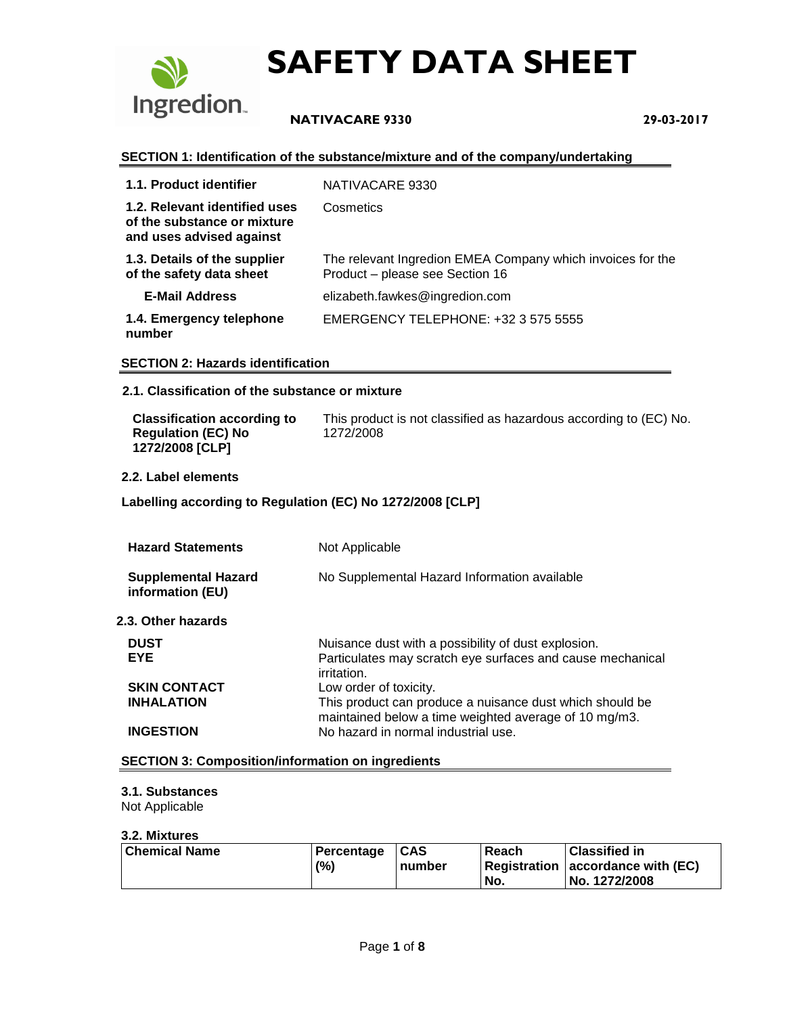

## **NATIVACARE 9330 29-03-2017**

#### **SECTION 1: Identification of the substance/mixture and of the company/undertaking**

| 1.1. Product identifier                                                                  | NATIVACARE 9330                                                                               |
|------------------------------------------------------------------------------------------|-----------------------------------------------------------------------------------------------|
| 1.2. Relevant identified uses<br>of the substance or mixture<br>and uses advised against | Cosmetics                                                                                     |
| 1.3. Details of the supplier<br>of the safety data sheet                                 | The relevant Ingredion EMEA Company which invoices for the<br>Product - please see Section 16 |
| <b>E-Mail Address</b>                                                                    | elizabeth.fawkes@ingredion.com                                                                |
| 1.4. Emergency telephone<br>number                                                       | EMERGENCY TELEPHONE: +32 3 575 5555                                                           |

#### **SECTION 2: Hazards identification**

#### **2.1. Classification of the substance or mixture**

| <b>Classification according to</b>           | This product is not classified as hazardous according to (EC) No. |
|----------------------------------------------|-------------------------------------------------------------------|
| <b>Regulation (EC) No</b><br>1272/2008 [CLP] | 1272/2008                                                         |

#### **2.2. Label elements**

#### **Labelling according to Regulation (EC) No 1272/2008 [CLP]**

| <b>Hazard Statements</b>                       | Not Applicable                                                                                                                   |
|------------------------------------------------|----------------------------------------------------------------------------------------------------------------------------------|
| <b>Supplemental Hazard</b><br>information (EU) | No Supplemental Hazard Information available                                                                                     |
| 2.3. Other hazards                             |                                                                                                                                  |
| <b>DUST</b><br><b>EYE</b>                      | Nuisance dust with a possibility of dust explosion.<br>Particulates may scratch eye surfaces and cause mechanical<br>irritation. |
| <b>SKIN CONTACT</b>                            | Low order of toxicity.                                                                                                           |
| <b>INHALATION</b>                              | This product can produce a nuisance dust which should be<br>maintained below a time weighted average of 10 mg/m3.                |
| <b>INGESTION</b>                               | No hazard in normal industrial use.                                                                                              |

#### **SECTION 3: Composition/information on ingredients**

#### **3.1. Substances**

Not Applicable

#### **3.2. Mixtures**

| Chemical Name | Percentage | $\mathsf{ICAS}$ | Reach | <b>Classified in</b>              |
|---------------|------------|-----------------|-------|-----------------------------------|
|               | (%)        | number          |       | Registration accordance with (EC) |
|               |            |                 | No.   | No. 1272/2008                     |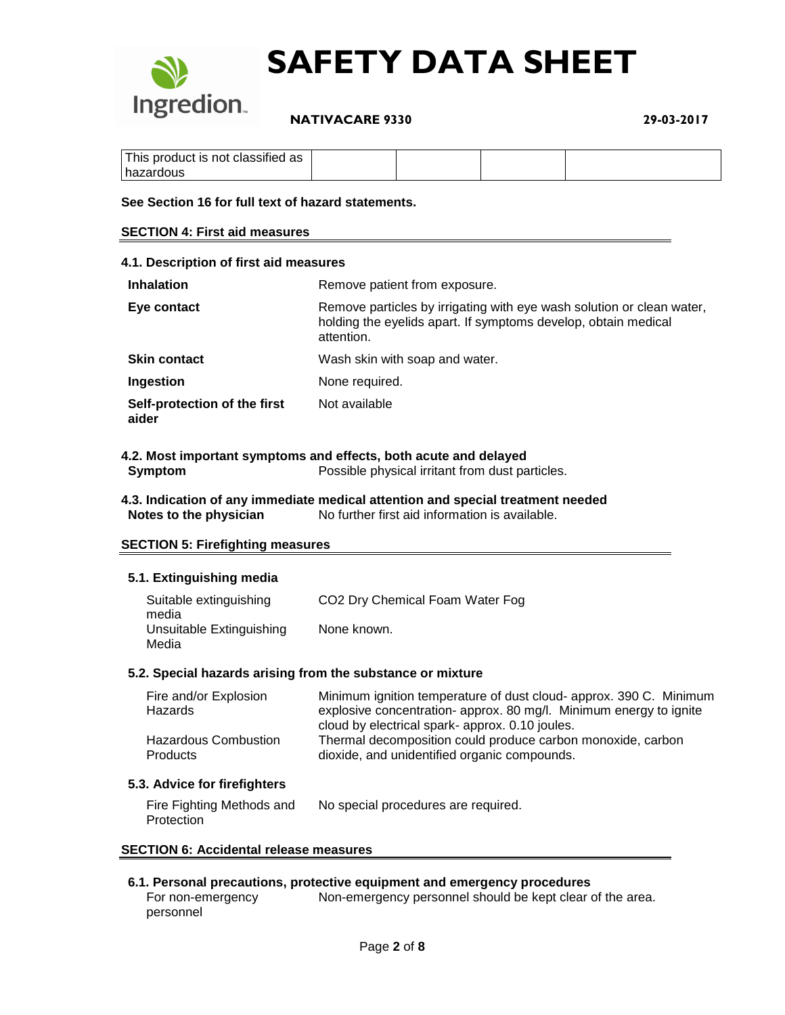

 **NATIVACARE 9330 29-03-2017**

| $\cdots$<br>∈product is not ∈<br>as<br>classified<br>This |  |  |
|-----------------------------------------------------------|--|--|
| zardous<br>−ha∠                                           |  |  |

#### **See Section 16 for full text of hazard statements.**

#### **SECTION 4: First aid measures**

| 4.1. Description of first aid measures |                                                                                                                                                       |  |  |
|----------------------------------------|-------------------------------------------------------------------------------------------------------------------------------------------------------|--|--|
| <b>Inhalation</b>                      | Remove patient from exposure.                                                                                                                         |  |  |
| Eye contact                            | Remove particles by irrigating with eye wash solution or clean water,<br>holding the eyelids apart. If symptoms develop, obtain medical<br>attention. |  |  |
| <b>Skin contact</b>                    | Wash skin with soap and water.                                                                                                                        |  |  |
| Ingestion                              | None required.                                                                                                                                        |  |  |
| Self-protection of the first<br>aider  | Not available                                                                                                                                         |  |  |

#### **4.2. Most important symptoms and effects, both acute and delayed Symptom** Possible physical irritant from dust particles.

**4.3. Indication of any immediate medical attention and special treatment needed Notes to the physician** No further first aid information is available.

#### **SECTION 5: Firefighting measures**

#### **5.1. Extinguishing media**

| Suitable extinguishing<br>media   | CO <sub>2</sub> Dry Chemical Foam Water Fog |
|-----------------------------------|---------------------------------------------|
| Unsuitable Extinguishing<br>Media | None known.                                 |

#### **5.2. Special hazards arising from the substance or mixture**

| Fire and/or Explosion       | Minimum ignition temperature of dust cloud- approx. 390 C. Minimum |
|-----------------------------|--------------------------------------------------------------------|
| <b>Hazards</b>              | explosive concentration- approx. 80 mg/l. Minimum energy to ignite |
|                             | cloud by electrical spark- approx. 0.10 joules.                    |
| <b>Hazardous Combustion</b> | Thermal decomposition could produce carbon monoxide, carbon        |
| <b>Products</b>             | dioxide, and unidentified organic compounds.                       |

#### **5.3. Advice for firefighters**

| Fire Fighting Methods and | No special procedures are required. |
|---------------------------|-------------------------------------|
| Protection                |                                     |

#### **SECTION 6: Accidental release measures**

#### **6.1. Personal precautions, protective equipment and emergency procedures**

For non-emergency personnel Non-emergency personnel should be kept clear of the area.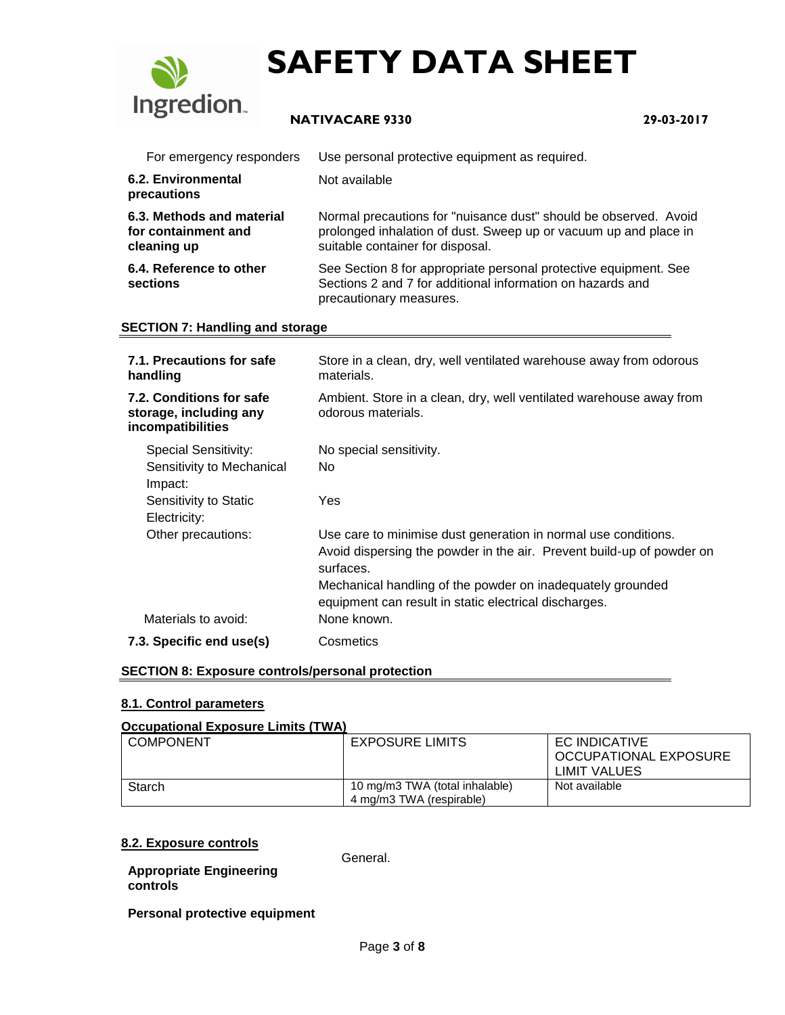

## **NATIVACARE 9330 29-03-2017**

| For emergency responders                                        | Use personal protective equipment as required.                                                                                                                           |
|-----------------------------------------------------------------|--------------------------------------------------------------------------------------------------------------------------------------------------------------------------|
| 6.2. Environmental<br>precautions                               | Not available                                                                                                                                                            |
| 6.3. Methods and material<br>for containment and<br>cleaning up | Normal precautions for "nuisance dust" should be observed. Avoid<br>prolonged inhalation of dust. Sweep up or vacuum up and place in<br>suitable container for disposal. |
| 6.4. Reference to other<br>sections                             | See Section 8 for appropriate personal protective equipment. See<br>Sections 2 and 7 for additional information on hazards and<br>precautionary measures.                |

#### **SECTION 7: Handling and storage**

| 7.1. Precautions for safe<br>handling                                   | Store in a clean, dry, well ventilated warehouse away from odorous<br>materials.                                                                     |
|-------------------------------------------------------------------------|------------------------------------------------------------------------------------------------------------------------------------------------------|
| 7.2. Conditions for safe<br>storage, including any<br>incompatibilities | Ambient. Store in a clean, dry, well ventilated warehouse away from<br>odorous materials.                                                            |
| Special Sensitivity:                                                    | No special sensitivity.                                                                                                                              |
| Sensitivity to Mechanical<br>Impact:                                    | No.                                                                                                                                                  |
| Sensitivity to Static<br>Electricity:                                   | Yes                                                                                                                                                  |
| Other precautions:                                                      | Use care to minimise dust generation in normal use conditions.<br>Avoid dispersing the powder in the air. Prevent build-up of powder on<br>surfaces. |
|                                                                         | Mechanical handling of the powder on inadequately grounded<br>equipment can result in static electrical discharges.                                  |
| Materials to avoid:                                                     | None known.                                                                                                                                          |
| 7.3. Specific end use(s)                                                | Cosmetics                                                                                                                                            |

#### **SECTION 8: Exposure controls/personal protection**

#### **8.1. Control parameters**

#### **Occupational Exposure Limits (TWA)**

| <b>COMPONENT</b> | <b>EXPOSURE LIMITS</b>         | EC INDICATIVE         |
|------------------|--------------------------------|-----------------------|
|                  |                                | OCCUPATIONAL EXPOSURE |
|                  |                                | LIMIT VALUES          |
| Starch           | 10 mg/m3 TWA (total inhalable) | Not available         |
|                  | 4 mg/m3 TWA (respirable)       |                       |

#### **8.2. Exposure controls**

**Appropriate Engineering controls**

**Personal protective equipment**

General.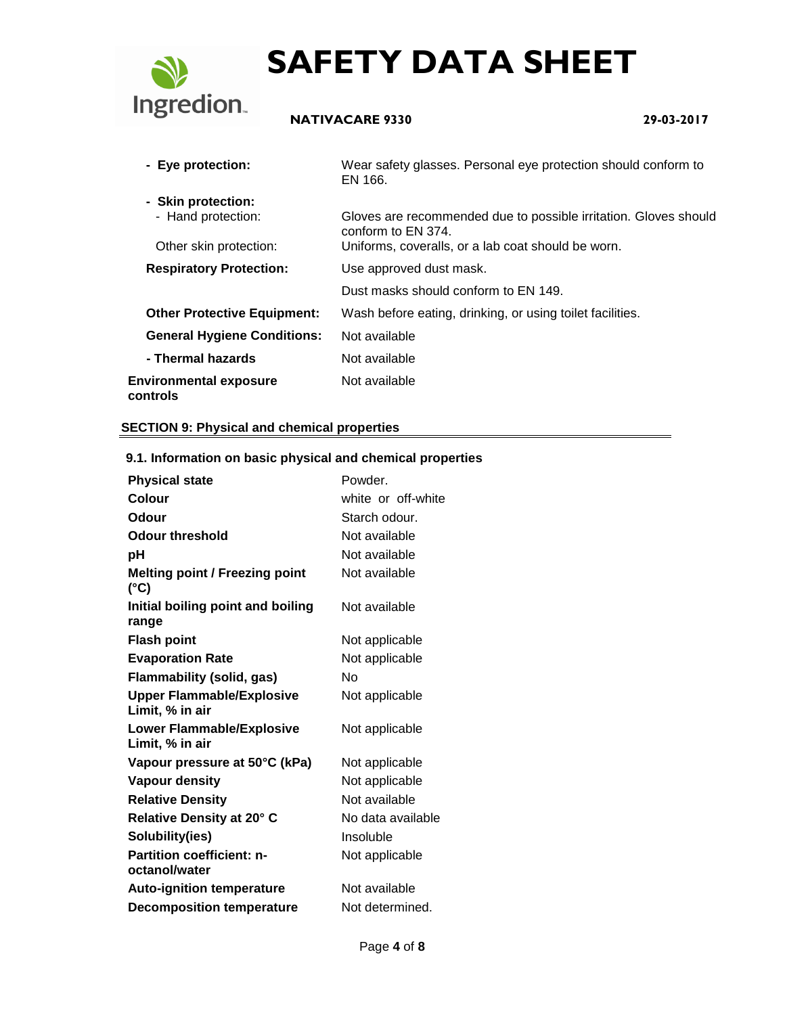

## **NATIVACARE 9330 29-03-2017**

| - Eye protection:                         | Wear safety glasses. Personal eye protection should conform to<br>EN 166.              |
|-------------------------------------------|----------------------------------------------------------------------------------------|
| - Skin protection:                        |                                                                                        |
| - Hand protection:                        | Gloves are recommended due to possible irritation. Gloves should<br>conform to EN 374. |
| Other skin protection:                    | Uniforms, coveralls, or a lab coat should be worn.                                     |
| <b>Respiratory Protection:</b>            | Use approved dust mask.                                                                |
|                                           | Dust masks should conform to EN 149.                                                   |
| <b>Other Protective Equipment:</b>        | Wash before eating, drinking, or using toilet facilities.                              |
| <b>General Hygiene Conditions:</b>        | Not available                                                                          |
| - Thermal hazards                         | Not available                                                                          |
| <b>Environmental exposure</b><br>controls | Not available                                                                          |

#### **SECTION 9: Physical and chemical properties**

| 9. T. Milorination on basic priysical and chemical properties |                    |
|---------------------------------------------------------------|--------------------|
| <b>Physical state</b>                                         | Powder.            |
| Colour                                                        | white or off-white |
| Odour                                                         | Starch odour.      |
| <b>Odour threshold</b>                                        | Not available      |
| рH                                                            | Not available      |
| <b>Melting point / Freezing point</b><br>$(^{\circ}C)$        | Not available      |
| Initial boiling point and boiling<br>range                    | Not available      |
| <b>Flash point</b>                                            | Not applicable     |
| <b>Evaporation Rate</b>                                       | Not applicable     |
| <b>Flammability (solid, gas)</b>                              | Nο                 |
| <b>Upper Flammable/Explosive</b><br>Limit, % in air           | Not applicable     |
| <b>Lower Flammable/Explosive</b><br>Limit, % in air           | Not applicable     |
| Vapour pressure at 50°C (kPa)                                 | Not applicable     |
| <b>Vapour density</b>                                         | Not applicable     |
| <b>Relative Density</b>                                       | Not available      |
| Relative Density at 20° C                                     | No data available  |
| Solubility(ies)                                               | Insoluble          |
| <b>Partition coefficient: n-</b><br>octanol/water             | Not applicable     |
| <b>Auto-ignition temperature</b>                              | Not available      |
| <b>Decomposition temperature</b>                              | Not determined.    |

## **9.1. Information on basic physical and chemical properties**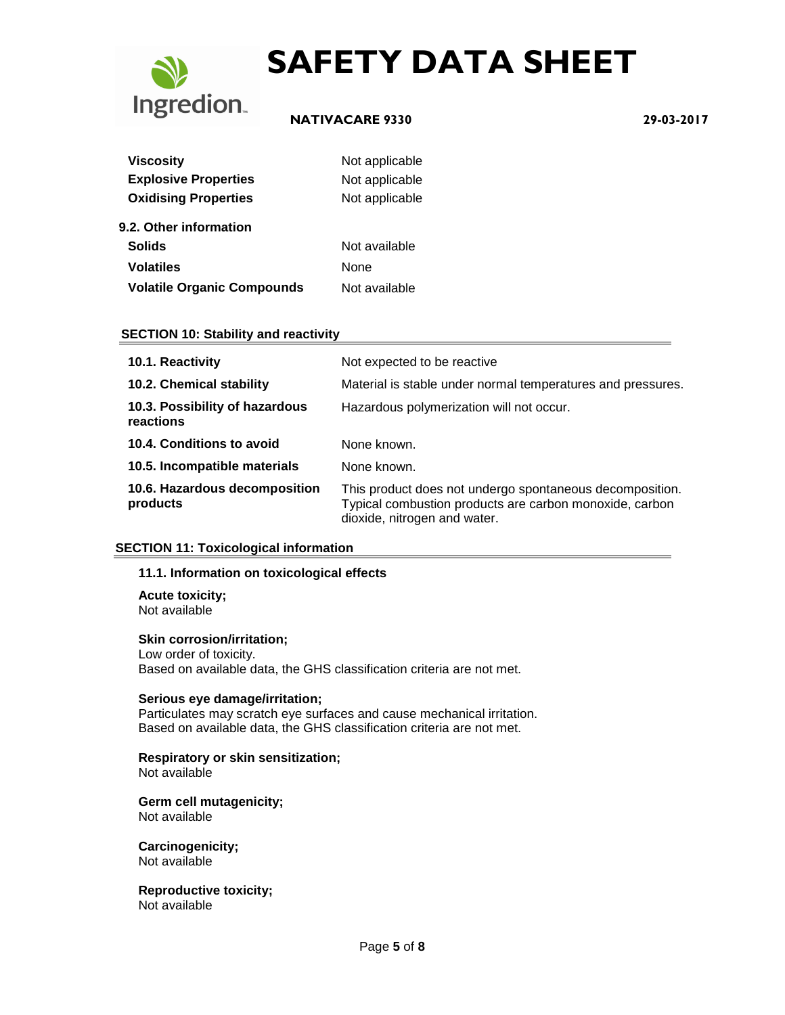

## **NATIVACARE 9330 29-03-2017**

| <b>Viscosity</b>                  | Not applicable |
|-----------------------------------|----------------|
| <b>Explosive Properties</b>       | Not applicable |
| <b>Oxidising Properties</b>       | Not applicable |
| 9.2. Other information            |                |
| <b>Solids</b>                     | Not available  |
| Volatiles                         | None           |
| <b>Volatile Organic Compounds</b> | Not available  |

#### **SECTION 10: Stability and reactivity**

| 10.1. Reactivity                            | Not expected to be reactive                                                                                                                         |
|---------------------------------------------|-----------------------------------------------------------------------------------------------------------------------------------------------------|
| 10.2. Chemical stability                    | Material is stable under normal temperatures and pressures.                                                                                         |
| 10.3. Possibility of hazardous<br>reactions | Hazardous polymerization will not occur.                                                                                                            |
| 10.4. Conditions to avoid                   | None known.                                                                                                                                         |
| 10.5. Incompatible materials                | None known.                                                                                                                                         |
| 10.6. Hazardous decomposition<br>products   | This product does not undergo spontaneous decomposition.<br>Typical combustion products are carbon monoxide, carbon<br>dioxide, nitrogen and water. |

#### **SECTION 11: Toxicological information**

#### **11.1. Information on toxicological effects**

**Acute toxicity;** Not available

#### **Skin corrosion/irritation;**

Low order of toxicity. Based on available data, the GHS classification criteria are not met.

### **Serious eye damage/irritation;**

Particulates may scratch eye surfaces and cause mechanical irritation. Based on available data, the GHS classification criteria are not met.

## **Respiratory or skin sensitization;**

Not available

#### **Germ cell mutagenicity;** Not available

**Carcinogenicity;** Not available

**Reproductive toxicity;** Not available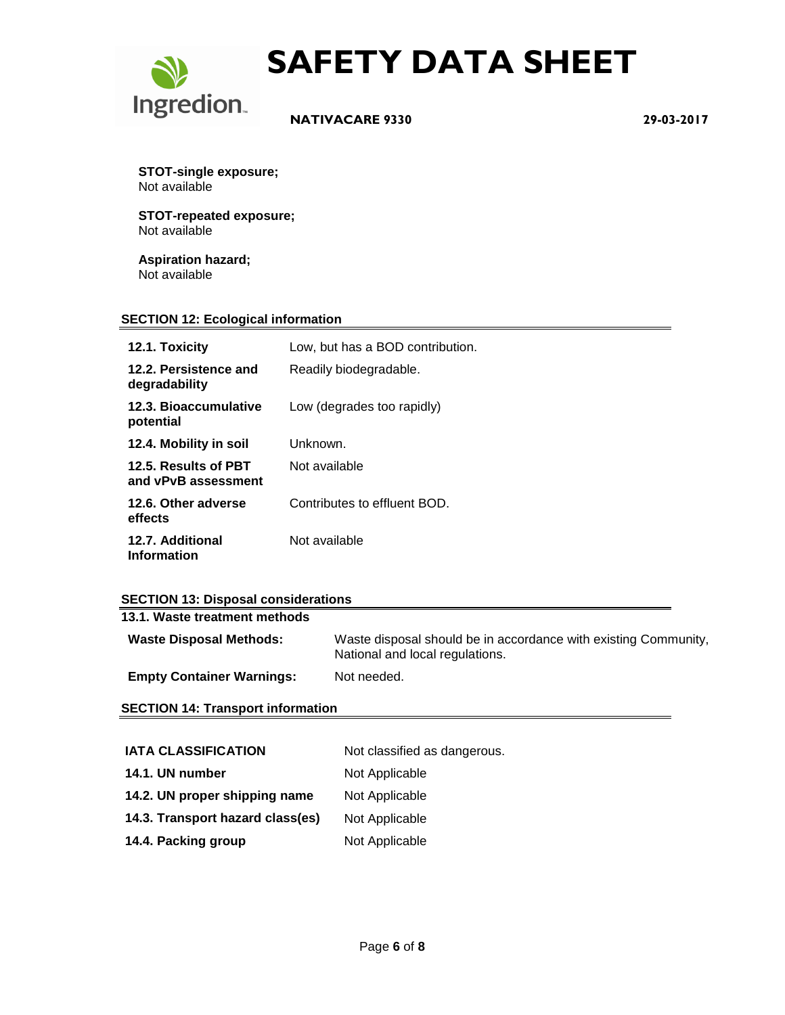

 **NATIVACARE 9330 29-03-2017**

**STOT-single exposure;** Not available

**STOT-repeated exposure;** Not available

**Aspiration hazard;** Not available

#### **SECTION 12: Ecological information**

| 12.1. Toxicity                              | Low, but has a BOD contribution. |
|---------------------------------------------|----------------------------------|
| 12.2. Persistence and<br>degradability      | Readily biodegradable.           |
| 12.3. Bioaccumulative<br>potential          | Low (degrades too rapidly)       |
| 12.4. Mobility in soil                      | Unknown.                         |
| 12.5. Results of PBT<br>and vPvB assessment | Not available                    |
| 12.6. Other adverse<br>effects              | Contributes to effluent BOD.     |
| 12.7. Additional<br><b>Information</b>      | Not available                    |

### **SECTION 13: Disposal considerations**

| 13.1. Waste treatment methods    |                                                                                                    |
|----------------------------------|----------------------------------------------------------------------------------------------------|
| <b>Waste Disposal Methods:</b>   | Waste disposal should be in accordance with existing Community,<br>National and local regulations. |
| <b>Empty Container Warnings:</b> | Not needed.                                                                                        |

#### **SECTION 14: Transport information**

| <b>IATA CLASSIFICATION</b>       | Not classified as dangerous. |
|----------------------------------|------------------------------|
| 14.1. UN number                  | Not Applicable               |
| 14.2. UN proper shipping name    | Not Applicable               |
| 14.3. Transport hazard class(es) | Not Applicable               |
| 14.4. Packing group              | Not Applicable               |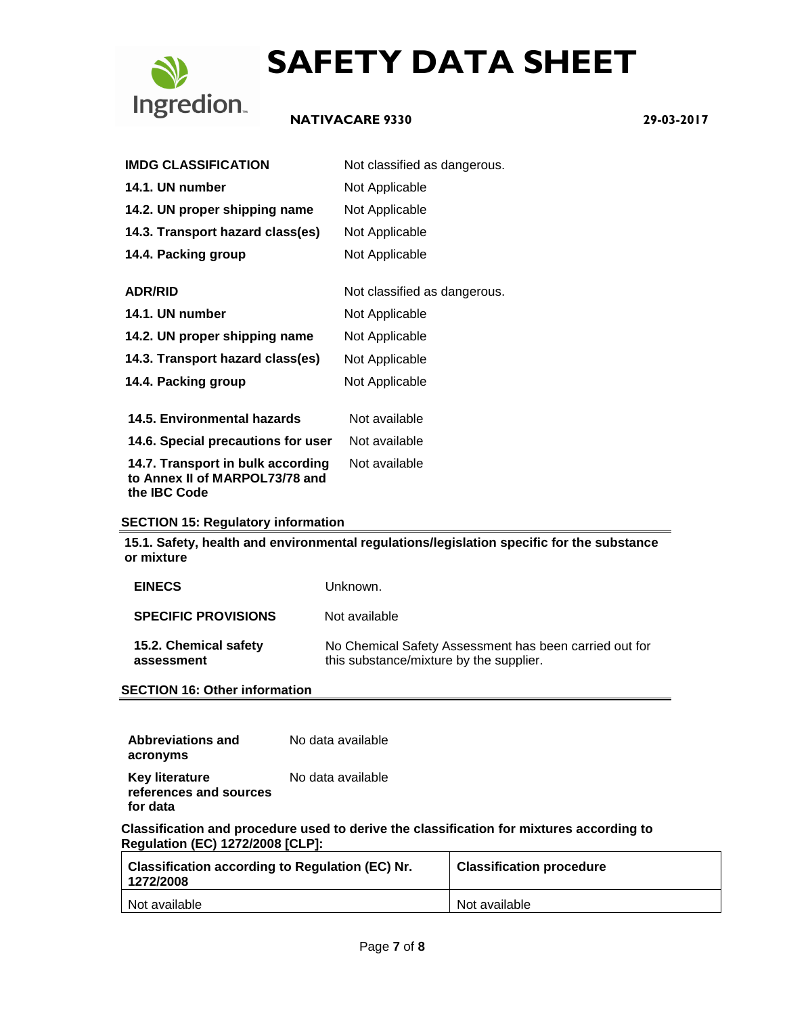

## **NATIVACARE 9330 29-03-2017**

| <b>IMDG CLASSIFICATION</b>                                                                 | Not classified as dangerous. |
|--------------------------------------------------------------------------------------------|------------------------------|
| 14.1. UN number                                                                            | Not Applicable               |
| 14.2. UN proper shipping name                                                              | Not Applicable               |
| 14.3. Transport hazard class(es)                                                           | Not Applicable               |
| 14.4. Packing group                                                                        | Not Applicable               |
| <b>ADR/RID</b>                                                                             | Not classified as dangerous. |
| 14.1. UN number                                                                            | Not Applicable               |
| 14.2. UN proper shipping name                                                              | Not Applicable               |
| 14.3. Transport hazard class(es)                                                           | Not Applicable               |
| 14.4. Packing group                                                                        | Not Applicable               |
| <b>14.5. Environmental hazards</b>                                                         | Not available                |
| 14.6. Special precautions for user                                                         | Not available                |
| 14.7. Transport in bulk according<br>to Annex II of MARPOL73/78 and<br>the <b>IBC</b> Code | Not available                |
|                                                                                            |                              |

#### **SECTION 15: Regulatory information**

**15.1. Safety, health and environmental regulations/legislation specific for the substance or mixture**

| <b>EINECS</b>                       | Unknown.                                                                                          |
|-------------------------------------|---------------------------------------------------------------------------------------------------|
| <b>SPECIFIC PROVISIONS</b>          | Not available                                                                                     |
| 15.2. Chemical safety<br>assessment | No Chemical Safety Assessment has been carried out for<br>this substance/mixture by the supplier. |

**SECTION 16: Other information**

| Abbreviations and                                           | No data available |
|-------------------------------------------------------------|-------------------|
| acronyms                                                    |                   |
| <b>Key literature</b><br>references and sources<br>for data | No data available |

**Classification and procedure used to derive the classification for mixtures according to Regulation (EC) 1272/2008 [CLP]:**

| <b>Classification according to Regulation (EC) Nr.</b><br>1272/2008 | <b>Classification procedure</b> |
|---------------------------------------------------------------------|---------------------------------|
| Not available                                                       | Not available                   |